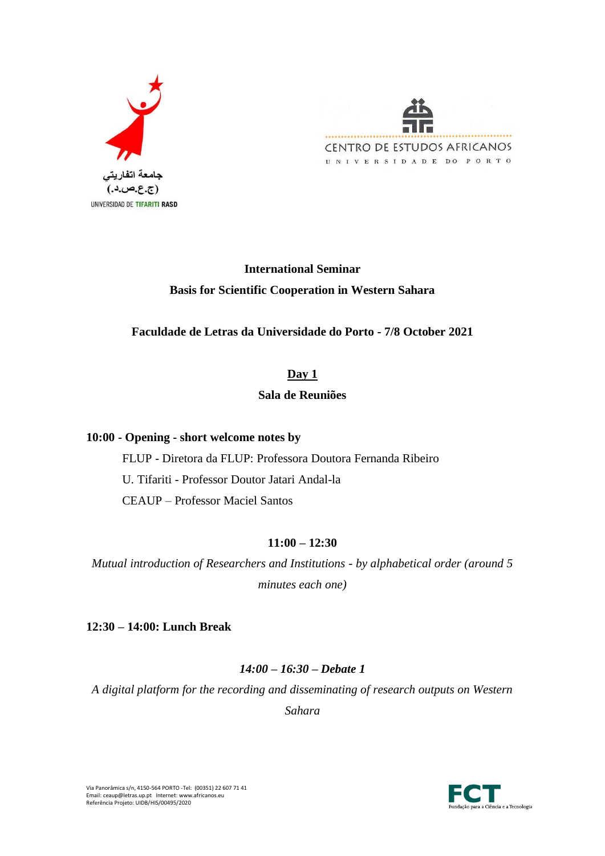



# **International Seminar Basis for Scientific Cooperation in Western Sahara**

# **Faculdade de Letras da Universidade do Porto - 7/8 October 2021**

### **Day 1**

# **Sala de Reuniões**

### **10:00 - Opening - short welcome notes by**

FLUP - Diretora da FLUP: Professora Doutora Fernanda Ribeiro U. Tifariti - Professor Doutor Jatari Andal-la CEAUP – Professor Maciel Santos

# **11:00 – 12:30**

*Mutual introduction of Researchers and Institutions - by alphabetical order (around 5 minutes each one)*

### **12:30 – 14:00: Lunch Break**

# *14:00 – 16:30 – Debate 1*

*A digital platform for the recording and disseminating of research outputs on Western* 

*Sahara*